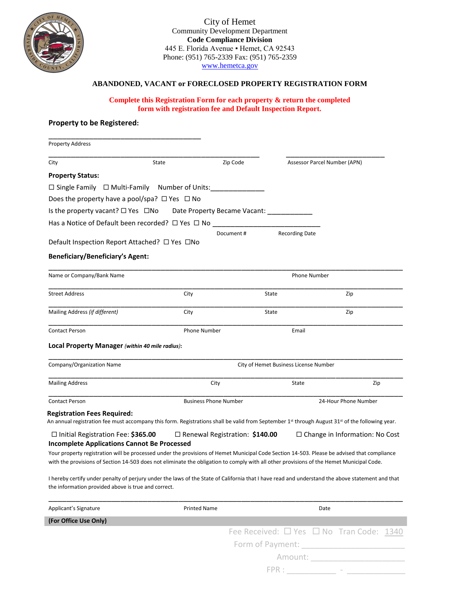

City of Hemet Community Development Department **Code Compliance Division** 445 E. Florida Avenue · Hemet, CA 92543 Phone: (951) 765-2339 Fax: (951) 765-2359 [www.hemetca.gov](http://www.hemetca.gov/)

#### **ABANDONED, VACANT or FORECLOSED PROPERTY REGISTRATION FORM**

#### **Complete this Registration Form for each property & return the completed form with registration fee and Default Inspection Report.**

### **Property to be Registered:**

| <b>Property Address</b>                                                                                                                                                                                                                                                                 |       |                                       |                              |                                          |  |  |
|-----------------------------------------------------------------------------------------------------------------------------------------------------------------------------------------------------------------------------------------------------------------------------------------|-------|---------------------------------------|------------------------------|------------------------------------------|--|--|
| City                                                                                                                                                                                                                                                                                    | State | Zip Code                              | Assessor Parcel Number (APN) |                                          |  |  |
| <b>Property Status:</b>                                                                                                                                                                                                                                                                 |       |                                       |                              |                                          |  |  |
| $\Box$ Single Family $\Box$ Multi-Family Number of Units:                                                                                                                                                                                                                               |       |                                       |                              |                                          |  |  |
| Does the property have a pool/spa? $\Box$ Yes $\Box$ No                                                                                                                                                                                                                                 |       |                                       |                              |                                          |  |  |
| Is the property vacant? $\square$ Yes $\square$ No                                                                                                                                                                                                                                      |       | Date Property Became Vacant:          |                              |                                          |  |  |
| Has a Notice of Default been recorded? $\Box$ Yes $\Box$ No                                                                                                                                                                                                                             |       |                                       |                              |                                          |  |  |
|                                                                                                                                                                                                                                                                                         |       | Document#                             | <b>Recording Date</b>        |                                          |  |  |
| Default Inspection Report Attached? □ Yes □No                                                                                                                                                                                                                                           |       |                                       |                              |                                          |  |  |
| <b>Beneficiary/Beneficiary's Agent:</b>                                                                                                                                                                                                                                                 |       |                                       |                              |                                          |  |  |
| Name or Company/Bank Name                                                                                                                                                                                                                                                               |       |                                       |                              | <b>Phone Number</b>                      |  |  |
| <b>Street Address</b>                                                                                                                                                                                                                                                                   | City  |                                       | State                        | Zip                                      |  |  |
| Mailing Address (if different)                                                                                                                                                                                                                                                          | City  |                                       | State                        | Zip                                      |  |  |
| <b>Contact Person</b>                                                                                                                                                                                                                                                                   |       | <b>Phone Number</b><br>Email          |                              |                                          |  |  |
| Local Property Manager (within 40 mile radius):                                                                                                                                                                                                                                         |       |                                       |                              |                                          |  |  |
| Company/Organization Name                                                                                                                                                                                                                                                               |       | City of Hemet Business License Number |                              |                                          |  |  |
| <b>Mailing Address</b>                                                                                                                                                                                                                                                                  |       | City                                  |                              | Zip                                      |  |  |
| <b>Contact Person</b>                                                                                                                                                                                                                                                                   |       | <b>Business Phone Number</b>          |                              | 24-Hour Phone Number                     |  |  |
| <b>Registration Fees Required:</b><br>An annual registration fee must accompany this form. Registrations shall be valid from September 1 <sup>st</sup> through August 31 <sup>st</sup> of the following year.                                                                           |       |                                       |                              |                                          |  |  |
| $\Box$ Initial Registration Fee: \$365.00<br><b>Incomplete Applications Cannot Be Processed</b>                                                                                                                                                                                         |       | $\Box$ Renewal Registration: \$140.00 |                              | $\Box$ Change in Information: No Cost    |  |  |
| Your property registration will be processed under the provisions of Hemet Municipal Code Section 14-503. Please be advised that compliance<br>with the provisions of Section 14-503 does not eliminate the obligation to comply with all other provisions of the Hemet Municipal Code. |       |                                       |                              |                                          |  |  |
| I hereby certify under penalty of perjury under the laws of the State of California that I have read and understand the above statement and that<br>the information provided above is true and correct.                                                                                 |       |                                       |                              |                                          |  |  |
| Applicant's Signature                                                                                                                                                                                                                                                                   |       | <b>Printed Name</b>                   | Date                         |                                          |  |  |
| (For Office Use Only)                                                                                                                                                                                                                                                                   |       |                                       |                              |                                          |  |  |
|                                                                                                                                                                                                                                                                                         |       |                                       |                              | Fee Received: □ Yes □ No Tran Code: 1340 |  |  |
|                                                                                                                                                                                                                                                                                         |       | Form of Payment:                      |                              |                                          |  |  |

FPR : \_\_\_\_\_\_\_\_\_\_\_ - \_\_\_\_\_\_\_\_\_\_\_\_\_

Amount: \_\_\_\_\_\_\_\_\_\_\_\_\_\_\_\_\_\_\_\_\_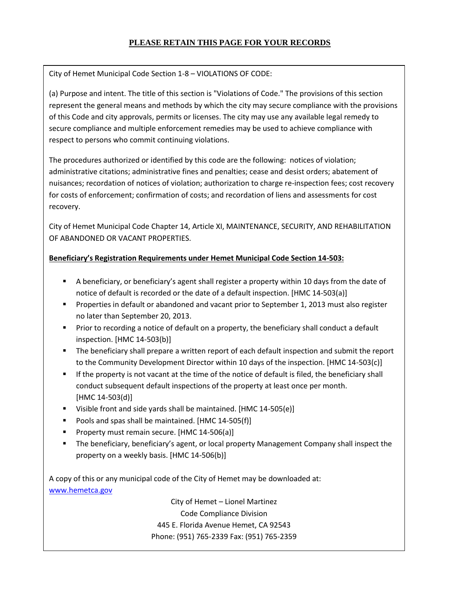# **PLEASE RETAIN THIS PAGE FOR YOUR RECORDS**

City of Hemet Municipal Code Section 1-8 – VIOLATIONS OF CODE:

(a) Purpose and intent. The title of this section is "Violations of Code." The provisions of this section represent the general means and methods by which the city may secure compliance with the provisions of this Code and city approvals, permits or licenses. The city may use any available legal remedy to secure compliance and multiple enforcement remedies may be used to achieve compliance with respect to persons who commit continuing violations.

The procedures authorized or identified by this code are the following: notices of violation; administrative citations; administrative fines and penalties; cease and desist orders; abatement of nuisances; recordation of notices of violation; authorization to charge re-inspection fees; cost recovery for costs of enforcement; confirmation of costs; and recordation of liens and assessments for cost recovery.

City of Hemet Municipal Code Chapter 14, Article XI, MAINTENANCE, SECURITY, AND REHABILITATION OF ABANDONED OR VACANT PROPERTIES.

### **Beneficiary's Registration Requirements under Hemet Municipal Code Section 14-503:**

- **EX** A beneficiary, or beneficiary's agent shall register a property within 10 days from the date of notice of default is recorded or the date of a default inspection. [HMC 14-503(a)]
- **•** Properties in default or abandoned and vacant prior to September 1, 2013 must also register no later than September 20, 2013.
- **•** Prior to recording a notice of default on a property, the beneficiary shall conduct a default inspection. [HMC 14-503(b)]
- The beneficiary shall prepare a written report of each default inspection and submit the report to the Community Development Director within 10 days of the inspection. [HMC 14-503(c)]
- **■** If the property is not vacant at the time of the notice of default is filed, the beneficiary shall conduct subsequent default inspections of the property at least once per month. [HMC 14-503(d)]
- Visible front and side yards shall be maintained. [HMC 14-505(e)]
- Pools and spas shall be maintained. [HMC 14-505(f)]
- Property must remain secure. [HMC 14-506(a)]
- The beneficiary, beneficiary's agent, or local property Management Company shall inspect the property on a weekly basis. [HMC 14-506(b)]

A copy of this or any municipal code of the City of Hemet may be downloaded at: [www.hemetca.gov](http://www.hemetca.gov/)

> City of Hemet – Lionel Martinez Code Compliance Division 445 E. Florida Avenue Hemet, CA 92543 Phone: (951) 765-2339 Fax: (951) 765-2359